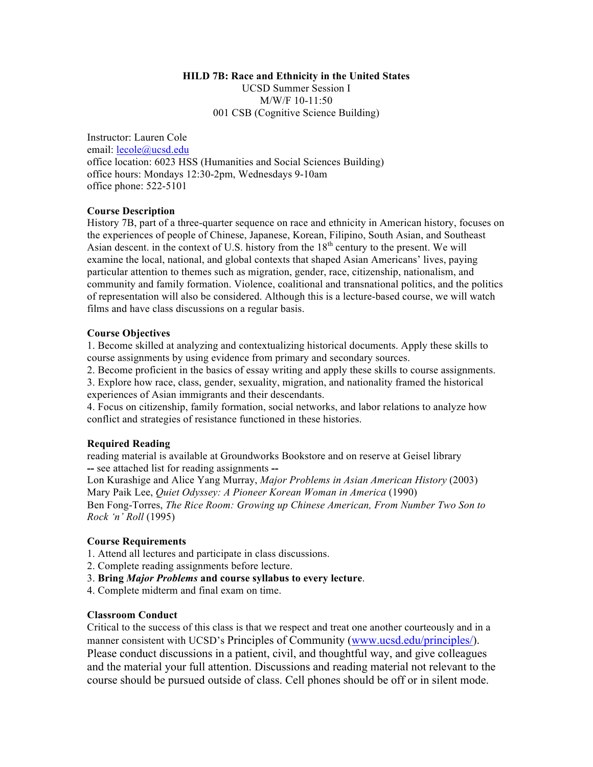## **HILD 7B: Race and Ethnicity in the United States**

UCSD Summer Session I M/W/F 10-11:50 001 CSB (Cognitive Science Building)

Instructor: Lauren Cole email: lecole@ucsd.edu office location: 6023 HSS (Humanities and Social Sciences Building) office hours: Mondays 12:30-2pm, Wednesdays 9-10am office phone: 522-5101

# **Course Description**

History 7B, part of a three-quarter sequence on race and ethnicity in American history, focuses on the experiences of people of Chinese, Japanese, Korean, Filipino, South Asian, and Southeast Asian descent. in the context of U.S. history from the  $18<sup>th</sup>$  century to the present. We will examine the local, national, and global contexts that shaped Asian Americans' lives, paying particular attention to themes such as migration, gender, race, citizenship, nationalism, and community and family formation. Violence, coalitional and transnational politics, and the politics of representation will also be considered. Although this is a lecture-based course, we will watch films and have class discussions on a regular basis.

## **Course Objectives**

1. Become skilled at analyzing and contextualizing historical documents. Apply these skills to course assignments by using evidence from primary and secondary sources.

2. Become proficient in the basics of essay writing and apply these skills to course assignments.

3. Explore how race, class, gender, sexuality, migration, and nationality framed the historical experiences of Asian immigrants and their descendants.

4. Focus on citizenship, family formation, social networks, and labor relations to analyze how conflict and strategies of resistance functioned in these histories.

## **Required Reading**

reading material is available at Groundworks Bookstore and on reserve at Geisel library **--** see attached list for reading assignments **--**

Lon Kurashige and Alice Yang Murray, *Major Problems in Asian American History* (2003) Mary Paik Lee, *Quiet Odyssey: A Pioneer Korean Woman in America* (1990) Ben Fong-Torres, *The Rice Room: Growing up Chinese American, From Number Two Son to* 

*Rock 'n' Roll* (1995)

## **Course Requirements**

1. Attend all lectures and participate in class discussions.

2. Complete reading assignments before lecture.

3. **Bring** *Major Problems* **and course syllabus to every lecture**.

4. Complete midterm and final exam on time.

# **Classroom Conduct**

Critical to the success of this class is that we respect and treat one another courteously and in a manner consistent with UCSD's Principles of Community (www.ucsd.edu/principles/). Please conduct discussions in a patient, civil, and thoughtful way, and give colleagues and the material your full attention. Discussions and reading material not relevant to the course should be pursued outside of class. Cell phones should be off or in silent mode.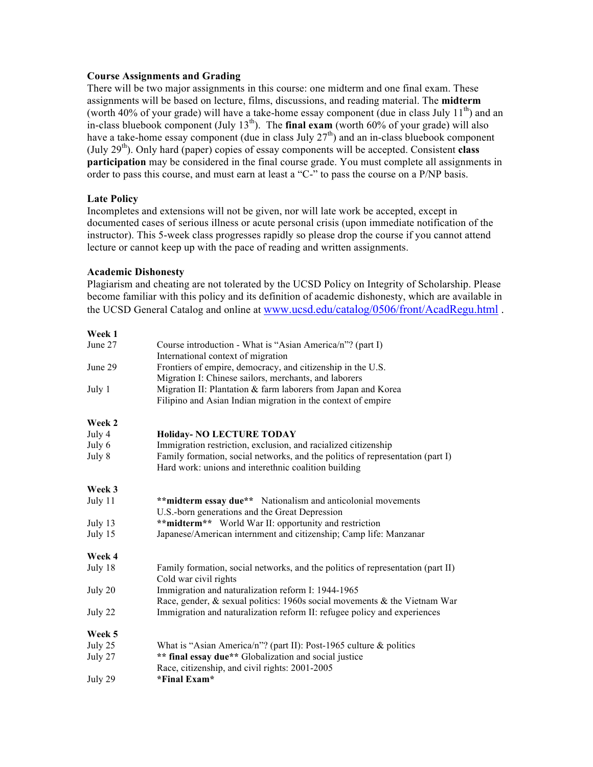## **Course Assignments and Grading**

There will be two major assignments in this course: one midterm and one final exam. These assignments will be based on lecture, films, discussions, and reading material. The **midterm** (worth 40% of your grade) will have a take-home essay component (due in class July  $11^{th}$ ) and an in-class bluebook component (July  $13<sup>th</sup>$ ). The **final exam** (worth  $60\%$  of your grade) will also have a take-home essay component (due in class July  $27<sup>th</sup>$ ) and an in-class bluebook component (July 29th). Only hard (paper) copies of essay components will be accepted. Consistent **class participation** may be considered in the final course grade. You must complete all assignments in order to pass this course, and must earn at least a "C-" to pass the course on a P/NP basis.

# **Late Policy**

Incompletes and extensions will not be given, nor will late work be accepted, except in documented cases of serious illness or acute personal crisis (upon immediate notification of the instructor). This 5-week class progresses rapidly so please drop the course if you cannot attend lecture or cannot keep up with the pace of reading and written assignments.

# **Academic Dishonesty**

Plagiarism and cheating are not tolerated by the UCSD Policy on Integrity of Scholarship. Please become familiar with this policy and its definition of academic dishonesty, which are available in the UCSD General Catalog and online at www.ucsd.edu/catalog/0506/front/AcadRegu.html .

#### **Week 1**

| June 27           | Course introduction - What is "Asian America/n"? (part I)                       |
|-------------------|---------------------------------------------------------------------------------|
| June 29<br>July 1 | International context of migration                                              |
|                   | Frontiers of empire, democracy, and citizenship in the U.S.                     |
|                   | Migration I: Chinese sailors, merchants, and laborers                           |
|                   | Migration II: Plantation & farm laborers from Japan and Korea                   |
|                   | Filipino and Asian Indian migration in the context of empire                    |
| Week 2            |                                                                                 |
| July 4            | <b>Holiday- NO LECTURE TODAY</b>                                                |
| July 6            | Immigration restriction, exclusion, and racialized citizenship                  |
| July 8            | Family formation, social networks, and the politics of representation (part I)  |
|                   | Hard work: unions and interethnic coalition building                            |
| Week 3            |                                                                                 |
| July 11           | ** midterm essay due** Nationalism and anticolonial movements                   |
|                   | U.S.-born generations and the Great Depression                                  |
| July $13$         | ** midterm** World War II: opportunity and restriction                          |
| July 15           | Japanese/American internment and citizenship; Camp life: Manzanar               |
| Week 4            |                                                                                 |
| July 18           | Family formation, social networks, and the politics of representation (part II) |
|                   | Cold war civil rights                                                           |
| July 20           | Immigration and naturalization reform I: 1944-1965                              |
|                   | Race, gender, & sexual politics: 1960s social movements & the Vietnam War       |
| July 22           | Immigration and naturalization reform II: refugee policy and experiences        |
| Week 5            |                                                                                 |
| July 25           | What is "Asian America/n"? (part II): Post-1965 culture $\&$ politics           |
| July 27           | ** final essay due** Globalization and social justice                           |
|                   | Race, citizenship, and civil rights: 2001-2005                                  |
| July 29           | *Final Exam*                                                                    |
|                   |                                                                                 |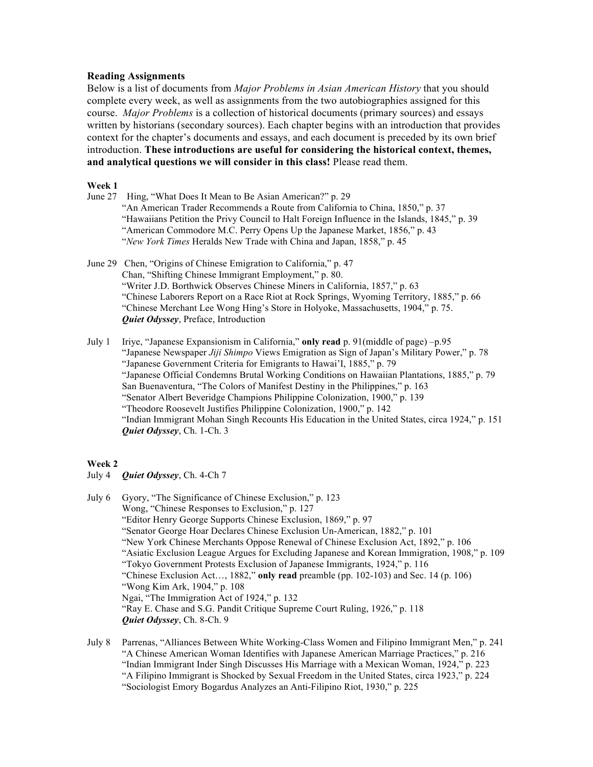## **Reading Assignments**

Below is a list of documents from *Major Problems in Asian American History* that you should complete every week, as well as assignments from the two autobiographies assigned for this course. *Major Problems* is a collection of historical documents (primary sources) and essays written by historians (secondary sources). Each chapter begins with an introduction that provides context for the chapter's documents and essays, and each document is preceded by its own brief introduction. **These introductions are useful for considering the historical context, themes, and analytical questions we will consider in this class!** Please read them.

#### **Week 1**

- June 27 Hing, "What Does It Mean to Be Asian American?" p. 29 "An American Trader Recommends a Route from California to China, 1850," p. 37 "Hawaiians Petition the Privy Council to Halt Foreign Influence in the Islands, 1845," p. 39 "American Commodore M.C. Perry Opens Up the Japanese Market, 1856," p. 43 "*New York Times* Heralds New Trade with China and Japan, 1858," p. 45
- June 29 Chen, "Origins of Chinese Emigration to California," p. 47 Chan, "Shifting Chinese Immigrant Employment," p. 80. "Writer J.D. Borthwick Observes Chinese Miners in California, 1857," p. 63 "Chinese Laborers Report on a Race Riot at Rock Springs, Wyoming Territory, 1885," p. 66 "Chinese Merchant Lee Wong Hing's Store in Holyoke, Massachusetts, 1904," p. 75. *Quiet Odyssey*, Preface, Introduction
- July 1 Iriye, "Japanese Expansionism in California," **only read** p. 91(middle of page) –p.95 "Japanese Newspaper *Jiji Shimpo* Views Emigration as Sign of Japan's Military Power," p. 78 "Japanese Government Criteria for Emigrants to Hawai'I, 1885," p. 79 "Japanese Official Condemns Brutal Working Conditions on Hawaiian Plantations, 1885," p. 79 San Buenaventura, "The Colors of Manifest Destiny in the Philippines," p. 163 "Senator Albert Beveridge Champions Philippine Colonization, 1900," p. 139 "Theodore Roosevelt Justifies Philippine Colonization, 1900," p. 142 "Indian Immigrant Mohan Singh Recounts His Education in the United States, circa 1924," p. 151 *Quiet Odyssey*, Ch. 1-Ch. 3

#### **Week 2**

- July 4 *Quiet Odyssey*, Ch. 4-Ch 7
- July 6 Gyory, "The Significance of Chinese Exclusion," p. 123 Wong, "Chinese Responses to Exclusion," p. 127 "Editor Henry George Supports Chinese Exclusion, 1869," p. 97 "Senator George Hoar Declares Chinese Exclusion Un-American, 1882," p. 101 "New York Chinese Merchants Oppose Renewal of Chinese Exclusion Act, 1892," p. 106 "Asiatic Exclusion League Argues for Excluding Japanese and Korean Immigration, 1908," p. 109 "Tokyo Government Protests Exclusion of Japanese Immigrants, 1924," p. 116 "Chinese Exclusion Act…, 1882," **only read** preamble (pp. 102-103) and Sec. 14 (p. 106) "Wong Kim Ark, 1904," p. 108 Ngai, "The Immigration Act of 1924," p. 132 "Ray E. Chase and S.G. Pandit Critique Supreme Court Ruling, 1926," p. 118 *Quiet Odyssey*, Ch. 8-Ch. 9
- July 8 Parrenas, "Alliances Between White Working-Class Women and Filipino Immigrant Men," p. 241 "A Chinese American Woman Identifies with Japanese American Marriage Practices," p. 216 "Indian Immigrant Inder Singh Discusses His Marriage with a Mexican Woman, 1924," p. 223 "A Filipino Immigrant is Shocked by Sexual Freedom in the United States, circa 1923," p. 224 "Sociologist Emory Bogardus Analyzes an Anti-Filipino Riot, 1930," p. 225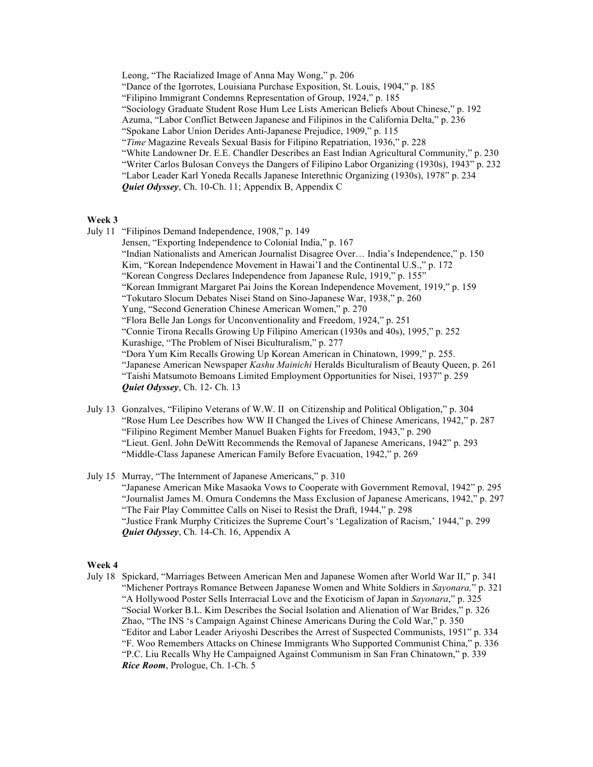Leong, "The Racialized Image of Anna May Wong," p. 206 "Dance of the Igorrotes, Louisiana Purchase Exposition, St. Louis, 1904," p. 185 "Filipino Immigrant Condemns Representation of Group, 1924," p. 185 "Sociology Graduate Student Rose Hum Lee Lists American Beliefs About Chinese," p. 192 Azuma, "Labor Conflict Between Japanese and Filipinos in the California Delta," p. 236 "Spokane Labor Union Derides Anti-Japanese Prejudice, 1909," p. 115 "*Time* Magazine Reveals Sexual Basis for Filipino Repatriation, 1936," p. 228 "White Landowner Dr. E.E. Chandler Describes an East Indian Agricultural Community," p. 230 "Writer Carlos Bulosan Conveys the Dangers of Filipino Labor Organizing (1930s), 1943" p. 232 "Labor Leader Karl Yoneda Recalls Japanese Interethnic Organizing (1930s), 1978" p. 234 *Quiet Odyssey*, Ch. 10-Ch. 11; Appendix B, Appendix C

#### **Week 3**

- July 11 "Filipinos Demand Independence, 1908," p. 149
- Jensen, "Exporting Independence to Colonial India," p. 167 "Indian Nationalists and American Journalist Disagree Over… India's Independence," p. 150 Kim, "Korean Independence Movement in Hawai'I and the Continental U.S.," p. 172 "Korean Congress Declares Independence from Japanese Rule, 1919," p. 155" "Korean Immigrant Margaret Pai Joins the Korean Independence Movement, 1919," p. 159 "Tokutaro Slocum Debates Nisei Stand on Sino-Japanese War, 1938," p. 260 Yung, "Second Generation Chinese American Women," p. 270 "Flora Belle Jan Longs for Unconventionality and Freedom, 1924," p. 251 "Connie Tirona Recalls Growing Up Filipino American (1930s and 40s), 1995," p. 252 Kurashige, "The Problem of Nisei Biculturalism," p. 277 "Dora Yum Kim Recalls Growing Up Korean American in Chinatown, 1999," p. 255. "Japanese American Newspaper *Kashu Mainichi* Heralds Biculturalism of Beauty Queen, p. 261 "Taishi Matsumoto Bemoans Limited Employment Opportunities for Nisei, 1937" p. 259 *Quiet Odyssey*, Ch. 12- Ch. 13
- July 13 Gonzalves, "Filipino Veterans of W.W. II on Citizenship and Political Obligation," p. 304 "Rose Hum Lee Describes how WW II Changed the Lives of Chinese Americans, 1942," p. 287 "Filipino Regiment Member Manuel Buaken Fights for Freedom, 1943," p. 290 "Lieut. Genl. John DeWitt Recommends the Removal of Japanese Americans, 1942" p. 293 "Middle-Class Japanese American Family Before Evacuation, 1942," p. 269
- July 15 Murray, "The Internment of Japanese Americans," p. 310 "Japanese American Mike Masaoka Vows to Cooperate with Government Removal, 1942" p. 295 "Journalist James M. Omura Condemns the Mass Exclusion of Japanese Americans, 1942," p. 297 "The Fair Play Committee Calls on Nisei to Resist the Draft, 1944," p. 298 "Justice Frank Murphy Criticizes the Supreme Court's 'Legalization of Racism,' 1944," p. 299 *Quiet Odyssey*, Ch. 14-Ch. 16, Appendix A

#### **Week 4**

July 18 Spickard, "Marriages Between American Men and Japanese Women after World War II," p. 341 "Michener Portrays Romance Between Japanese Women and White Soldiers in *Sayonara,*" p. 321 "A Hollywood Poster Sells Interracial Love and the Exoticism of Japan in *Sayonara*," p. 325 "Social Worker B.L. Kim Describes the Social Isolation and Alienation of War Brides," p. 326 Zhao, "The INS 's Campaign Against Chinese Americans During the Cold War," p. 350 "Editor and Labor Leader Ariyoshi Describes the Arrest of Suspected Communists, 1951" p. 334 "F. Woo Remembers Attacks on Chinese Immigrants Who Supported Communist China," p. 336 "P.C. Liu Recalls Why He Campaigned Against Communism in San Fran Chinatown," p. 339 *Rice Room*, Prologue, Ch. 1-Ch. 5